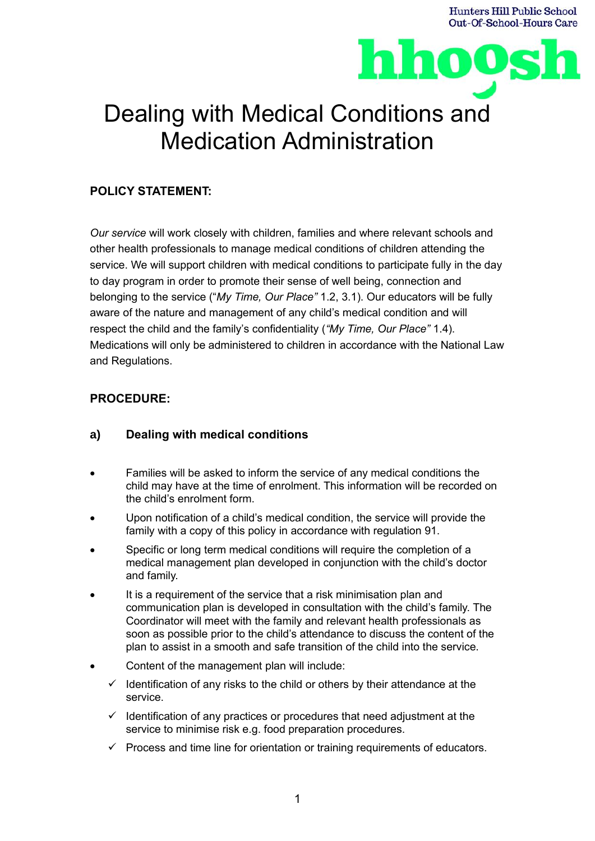



# Dealing with Medical Conditions and Medication Administration

## **POLICY STATEMENT:**

*Our service* will work closely with children, families and where relevant schools and other health professionals to manage medical conditions of children attending the service. We will support children with medical conditions to participate fully in the day to day program in order to promote their sense of well being, connection and belonging to the service ("*My Time, Our Place"* 1.2, 3.1). Our educators will be fully aware of the nature and management of any child's medical condition and will respect the child and the family's confidentiality (*"My Time, Our Place"* 1.4). Medications will only be administered to children in accordance with the National Law and Regulations.

## **PROCEDURE:**

#### **a) Dealing with medical conditions**

- Families will be asked to inform the service of any medical conditions the child may have at the time of enrolment. This information will be recorded on the child's enrolment form.
- Upon notification of a child's medical condition, the service will provide the family with a copy of this policy in accordance with regulation 91.
- Specific or long term medical conditions will require the completion of a medical management plan developed in conjunction with the child's doctor and family.
- It is a requirement of the service that a risk minimisation plan and communication plan is developed in consultation with the child's family. The Coordinator will meet with the family and relevant health professionals as soon as possible prior to the child's attendance to discuss the content of the plan to assist in a smooth and safe transition of the child into the service.
- Content of the management plan will include:
	- $\checkmark$  Identification of any risks to the child or others by their attendance at the service.
	- $\checkmark$  Identification of any practices or procedures that need adjustment at the service to minimise risk e.g. food preparation procedures.
	- $\checkmark$  Process and time line for orientation or training requirements of educators.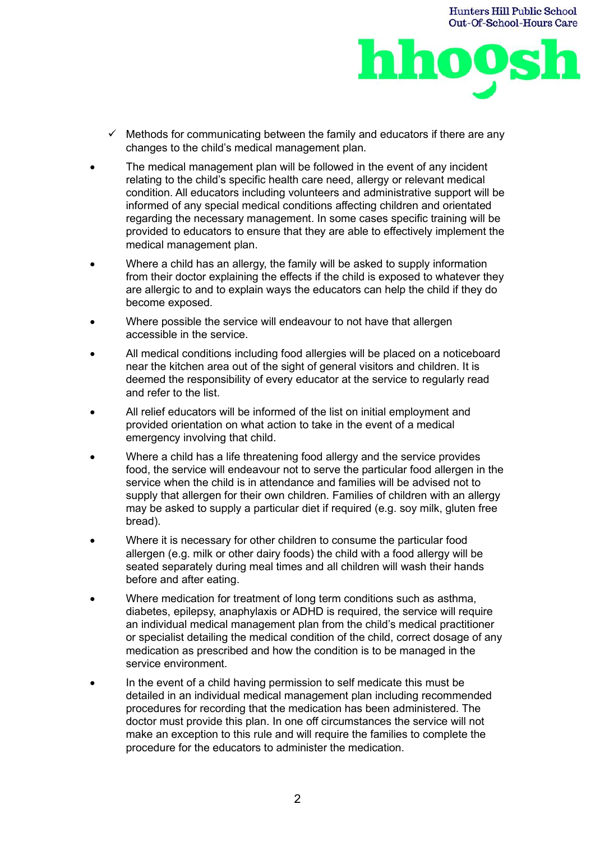



- $\checkmark$  Methods for communicating between the family and educators if there are any changes to the child's medical management plan.
- The medical management plan will be followed in the event of any incident relating to the child's specific health care need, allergy or relevant medical condition. All educators including volunteers and administrative support will be informed of any special medical conditions affecting children and orientated regarding the necessary management. In some cases specific training will be provided to educators to ensure that they are able to effectively implement the medical management plan.
- Where a child has an allergy, the family will be asked to supply information from their doctor explaining the effects if the child is exposed to whatever they are allergic to and to explain ways the educators can help the child if they do become exposed.
- Where possible the service will endeavour to not have that allergen accessible in the service.
- All medical conditions including food allergies will be placed on a noticeboard near the kitchen area out of the sight of general visitors and children. It is deemed the responsibility of every educator at the service to regularly read and refer to the list.
- All relief educators will be informed of the list on initial employment and provided orientation on what action to take in the event of a medical emergency involving that child.
- Where a child has a life threatening food allergy and the service provides food, the service will endeavour not to serve the particular food allergen in the service when the child is in attendance and families will be advised not to supply that allergen for their own children. Families of children with an allergy may be asked to supply a particular diet if required (e.g. soy milk, gluten free bread).
- Where it is necessary for other children to consume the particular food allergen (e.g. milk or other dairy foods) the child with a food allergy will be seated separately during meal times and all children will wash their hands before and after eating.
- Where medication for treatment of long term conditions such as asthma, diabetes, epilepsy, anaphylaxis or ADHD is required, the service will require an individual medical management plan from the child's medical practitioner or specialist detailing the medical condition of the child, correct dosage of any medication as prescribed and how the condition is to be managed in the service environment.
- In the event of a child having permission to self medicate this must be detailed in an individual medical management plan including recommended procedures for recording that the medication has been administered. The doctor must provide this plan. In one off circumstances the service will not make an exception to this rule and will require the families to complete the procedure for the educators to administer the medication.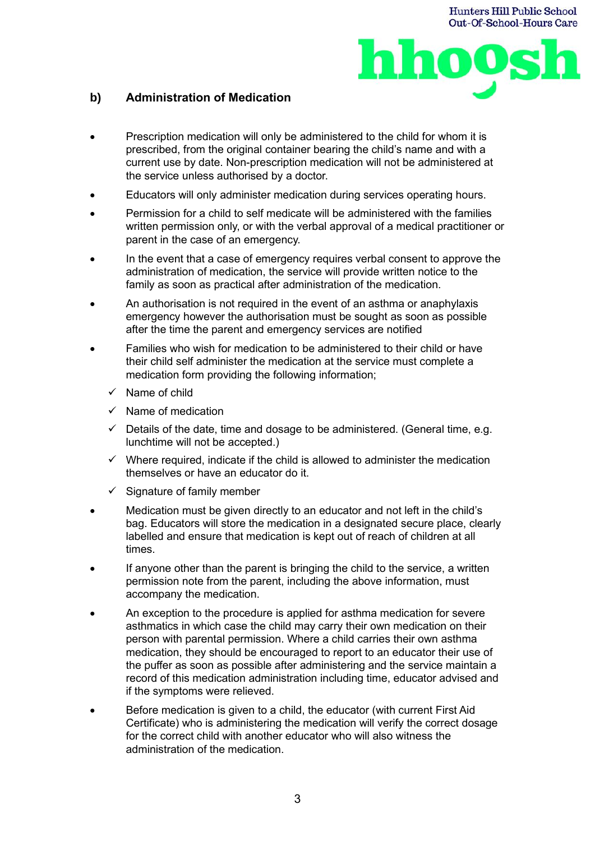

## **b) Administration of Medication**

- Prescription medication will only be administered to the child for whom it is prescribed, from the original container bearing the child's name and with a current use by date. Non-prescription medication will not be administered at the service unless authorised by a doctor.
- Educators will only administer medication during services operating hours.
- Permission for a child to self medicate will be administered with the families written permission only, or with the verbal approval of a medical practitioner or parent in the case of an emergency.
- In the event that a case of emergency requires verbal consent to approve the administration of medication, the service will provide written notice to the family as soon as practical after administration of the medication.
- An authorisation is not required in the event of an asthma or anaphylaxis emergency however the authorisation must be sought as soon as possible after the time the parent and emergency services are notified
- Families who wish for medication to be administered to their child or have their child self administer the medication at the service must complete a medication form providing the following information;
	- Name of child
	- $\checkmark$  Name of medication
	- $\checkmark$  Details of the date, time and dosage to be administered. (General time, e.g. lunchtime will not be accepted.)
	- $\checkmark$  Where required, indicate if the child is allowed to administer the medication themselves or have an educator do it.
	- Signature of family member
- Medication must be given directly to an educator and not left in the child's bag. Educators will store the medication in a designated secure place, clearly labelled and ensure that medication is kept out of reach of children at all times.
- If anyone other than the parent is bringing the child to the service, a written permission note from the parent, including the above information, must accompany the medication.
- An exception to the procedure is applied for asthma medication for severe asthmatics in which case the child may carry their own medication on their person with parental permission. Where a child carries their own asthma medication, they should be encouraged to report to an educator their use of the puffer as soon as possible after administering and the service maintain a record of this medication administration including time, educator advised and if the symptoms were relieved.
- Before medication is given to a child, the educator (with current First Aid Certificate) who is administering the medication will verify the correct dosage for the correct child with another educator who will also witness the administration of the medication.